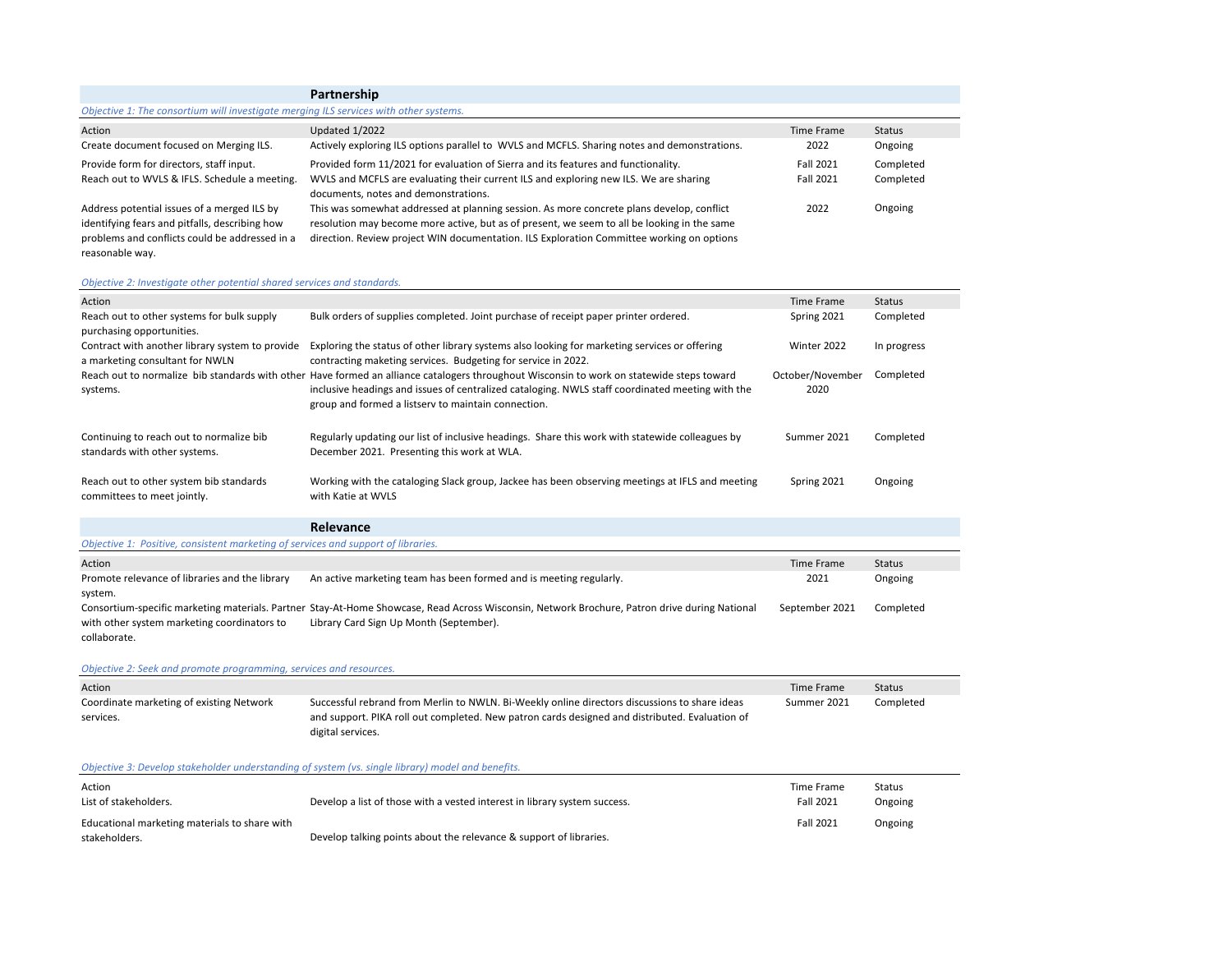# **Partnership**

## *Objective 1: The consortium will investigate merging ILS services with other systems.*

| Action                                         | <b>Updated 1/2022</b>                                                                        | Time Frame | <b>Status</b> |
|------------------------------------------------|----------------------------------------------------------------------------------------------|------------|---------------|
| Create document focused on Merging ILS.        | Actively exploring ILS options parallel to WVLS and MCFLS. Sharing notes and demonstrations. | 2022       | Ongoing       |
| Provide form for directors, staff input.       | Provided form 11/2021 for evaluation of Sierra and its features and functionality.           | Fall 2021  | Completed     |
| Reach out to WVLS & IFLS. Schedule a meeting.  | WVLS and MCFLS are evaluating their current ILS and exploring new ILS. We are sharing        | Fall 2021  | Completed     |
|                                                | documents, notes and demonstrations.                                                         |            |               |
| Address potential issues of a merged ILS by    | This was somewhat addressed at planning session. As more concrete plans develop, conflict    | 2022       | Ongoing       |
| identifying fears and pitfalls, describing how | resolution may become more active, but as of present, we seem to all be looking in the same  |            |               |
| problems and conflicts could be addressed in a | direction. Review project WIN documentation. ILS Exploration Committee working on options    |            |               |
| reasonable way.                                |                                                                                              |            |               |

# *Objective 2: Investigate other potential shared services and standards.*

| sjedire Ermrebugate burer potential sharea sermess ana standards.                  |                                                                                                                                                                                                                                                                                                      |                          |             |
|------------------------------------------------------------------------------------|------------------------------------------------------------------------------------------------------------------------------------------------------------------------------------------------------------------------------------------------------------------------------------------------------|--------------------------|-------------|
| Action                                                                             |                                                                                                                                                                                                                                                                                                      | <b>Time Frame</b>        | Status      |
| Reach out to other systems for bulk supply<br>purchasing opportunities.            | Bulk orders of supplies completed. Joint purchase of receipt paper printer ordered.                                                                                                                                                                                                                  | Spring 2021              | Completed   |
| Contract with another library system to provide<br>a marketing consultant for NWLN | Exploring the status of other library systems also looking for marketing services or offering<br>contracting maketing services. Budgeting for service in 2022.                                                                                                                                       | Winter 2022              | In progress |
| systems.                                                                           | Reach out to normalize bib standards with other Have formed an alliance catalogers throughout Wisconsin to work on statewide steps toward<br>inclusive headings and issues of centralized cataloging. NWLS staff coordinated meeting with the<br>group and formed a listsery to maintain connection. | October/November<br>2020 | Completed   |
| Continuing to reach out to normalize bib<br>standards with other systems.          | Regularly updating our list of inclusive headings. Share this work with statewide colleagues by<br>December 2021. Presenting this work at WLA.                                                                                                                                                       | Summer 2021              | Completed   |
| Reach out to other system bib standards<br>committees to meet jointly.             | Working with the cataloging Slack group, Jackee has been observing meetings at IFLS and meeting<br>with Katie at WVLS                                                                                                                                                                                | Spring 2021              | Ongoing     |
|                                                                                    | Relevance                                                                                                                                                                                                                                                                                            |                          |             |
| Objective 1: Positive, consistent marketing of services and support of libraries.  |                                                                                                                                                                                                                                                                                                      |                          |             |
| Action                                                                             |                                                                                                                                                                                                                                                                                                      | Time Frame               | Status      |
| Promote relevance of libraries and the library<br>system.                          | An active marketing team has been formed and is meeting regularly.                                                                                                                                                                                                                                   | 2021                     | Ongoing     |
| with other system marketing coordinators to<br>collaborate.                        | Consortium-specific marketing materials. Partner Stay-At-Home Showcase, Read Across Wisconsin, Network Brochure, Patron drive during National<br>Library Card Sign Up Month (September).                                                                                                             | September 2021           | Completed   |
| Objective 2: Seek and promote programming, services and resources.                 |                                                                                                                                                                                                                                                                                                      |                          |             |

|                                                                                                | Time Frame  | <b>Status</b> |
|------------------------------------------------------------------------------------------------|-------------|---------------|
| Successful rebrand from Merlin to NWLN. Bi-Weekly online directors discussions to share ideas  | Summer 2021 | Completed     |
| and support. PIKA roll out completed. New patron cards designed and distributed. Evaluation of |             |               |
| digital services.                                                                              |             |               |
|                                                                                                |             |               |

# *Objective 3: Develop stakeholder understanding of system (vs. single library) model and benefits.*

| Action<br>List of stakeholders.               | Develop a list of those with a vested interest in library system success. | Time Frame<br><b>Fall 2021</b> | Status<br>Ongoing |
|-----------------------------------------------|---------------------------------------------------------------------------|--------------------------------|-------------------|
| Educational marketing materials to share with |                                                                           | <b>Fall 2021</b>               | Ongoing           |
| stakeholders.                                 | Develop talking points about the relevance & support of libraries.        |                                |                   |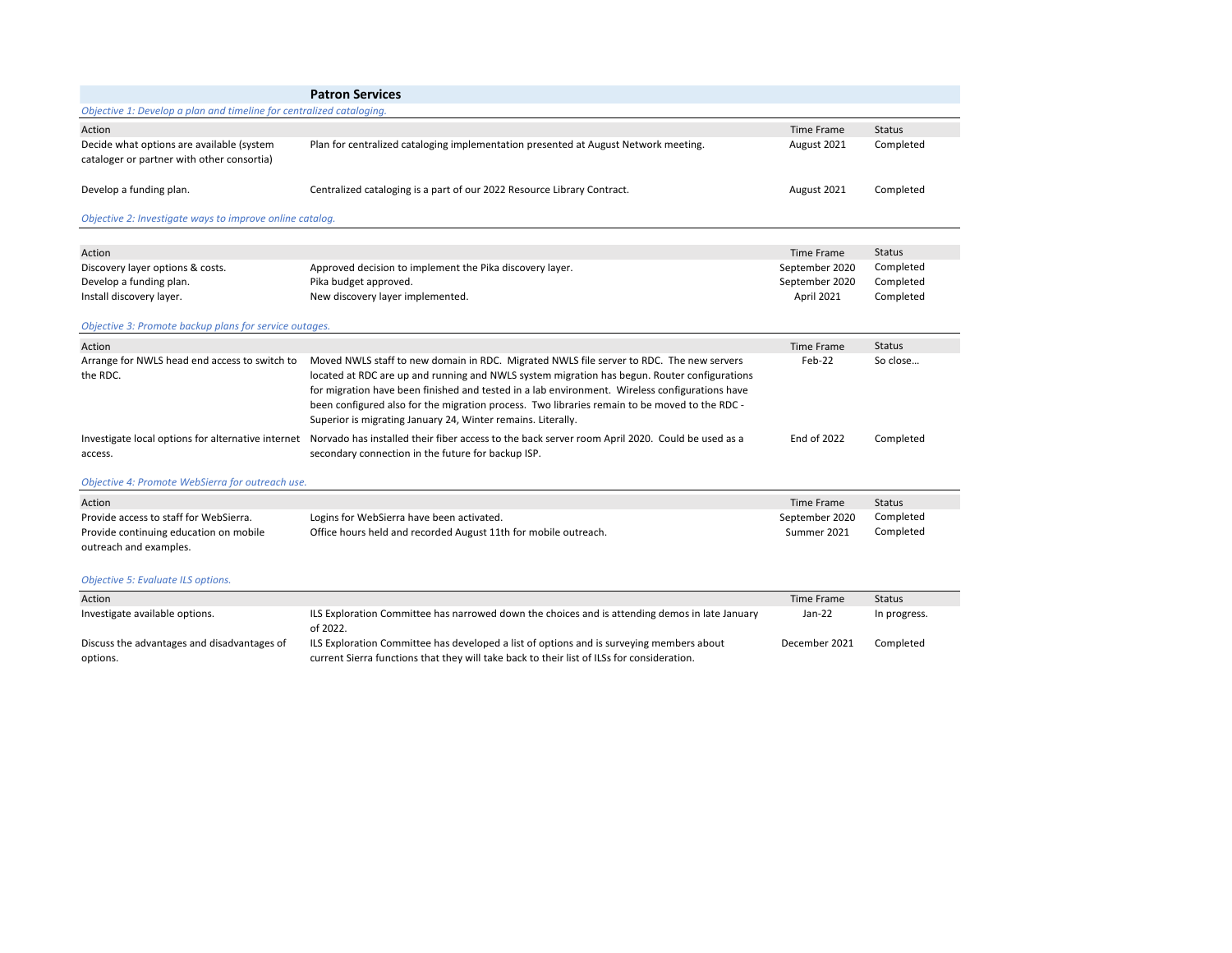|                                                                                         | <b>Patron Services</b>                                                                                                                                                                                                                                                                                                                                                                                                                                      |                    |               |
|-----------------------------------------------------------------------------------------|-------------------------------------------------------------------------------------------------------------------------------------------------------------------------------------------------------------------------------------------------------------------------------------------------------------------------------------------------------------------------------------------------------------------------------------------------------------|--------------------|---------------|
| Objective 1: Develop a plan and timeline for centralized cataloging.                    |                                                                                                                                                                                                                                                                                                                                                                                                                                                             |                    |               |
| Action                                                                                  |                                                                                                                                                                                                                                                                                                                                                                                                                                                             | Time Frame         | <b>Status</b> |
| Decide what options are available (system<br>cataloger or partner with other consortia) | Plan for centralized cataloging implementation presented at August Network meeting.                                                                                                                                                                                                                                                                                                                                                                         | August 2021        | Completed     |
| Develop a funding plan.                                                                 | Centralized cataloging is a part of our 2022 Resource Library Contract.                                                                                                                                                                                                                                                                                                                                                                                     | August 2021        | Completed     |
| Objective 2: Investigate ways to improve online catalog.                                |                                                                                                                                                                                                                                                                                                                                                                                                                                                             |                    |               |
| Action                                                                                  |                                                                                                                                                                                                                                                                                                                                                                                                                                                             | <b>Time Frame</b>  | <b>Status</b> |
| Discovery layer options & costs.                                                        | Approved decision to implement the Pika discovery layer.                                                                                                                                                                                                                                                                                                                                                                                                    | September 2020     | Completed     |
| Develop a funding plan.                                                                 | Pika budget approved.                                                                                                                                                                                                                                                                                                                                                                                                                                       | September 2020     | Completed     |
| Install discovery layer.                                                                | New discovery layer implemented.                                                                                                                                                                                                                                                                                                                                                                                                                            | April 2021         | Completed     |
| Objective 3: Promote backup plans for service outages.                                  |                                                                                                                                                                                                                                                                                                                                                                                                                                                             |                    |               |
| Action                                                                                  |                                                                                                                                                                                                                                                                                                                                                                                                                                                             | Time Frame         | <b>Status</b> |
| Arrange for NWLS head end access to switch to<br>the RDC.                               | Moved NWLS staff to new domain in RDC. Migrated NWLS file server to RDC. The new servers<br>located at RDC are up and running and NWLS system migration has begun. Router configurations<br>for migration have been finished and tested in a lab environment. Wireless configurations have<br>been configured also for the migration process. Two libraries remain to be moved to the RDC -<br>Superior is migrating January 24, Winter remains. Literally. | Feb-22             | So close      |
| Investigate local options for alternative internet<br>access.                           | Norvado has installed their fiber access to the back server room April 2020. Could be used as a<br>secondary connection in the future for backup ISP.                                                                                                                                                                                                                                                                                                       | <b>End of 2022</b> | Completed     |

# *Objective 4: Promote WebSierra for outreach use.*

| Action                                 |                                                                 | Time Frame     | <b>Status</b> |
|----------------------------------------|-----------------------------------------------------------------|----------------|---------------|
| Provide access to staff for WebSierra. | Logins for WebSierra have been activated.                       | September 2020 | Completed     |
| Provide continuing education on mobile | Office hours held and recorded August 11th for mobile outreach. | Summer 2021    | Completed     |
| outreach and examples.                 |                                                                 |                |               |

# *Objective 5: Evaluate ILS options.*

| Action                                                  |                                                                                                                                                                                        | Time Frame    | <b>Status</b> |
|---------------------------------------------------------|----------------------------------------------------------------------------------------------------------------------------------------------------------------------------------------|---------------|---------------|
| Investigate available options.                          | ILS Exploration Committee has narrowed down the choices and is attending demos in late January<br>of 2022.                                                                             | Jan-22        | In progress.  |
| Discuss the advantages and disadvantages of<br>options. | ILS Exploration Committee has developed a list of options and is surveying members about<br>current Sierra functions that they will take back to their list of ILSs for consideration. | December 2021 | Completed     |